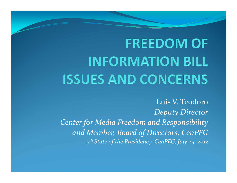# **FREEDOM OF INFORMATION BILL ISSUES AND CONCERNS**

Luis V. Teodoro*Deputy DirectorCenter for Media Freedom and Responsibility and Member, Board of Directors, CenPEG <sup>4</sup>th State of the Presidency, CenPEG, July 24, 2012*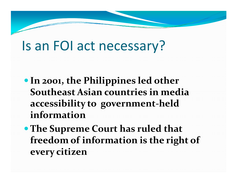# Is an FOI act necessary?

- **In 2001, the Philippines led other Southeast Asian countries in media accessibility to government-held information**
- **The Supreme Court has ruled that freedom of information is the right of every citizen**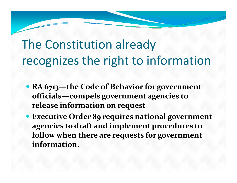# The Constitution already recognizes the right to information

- **RA 6713—the Code of Behavior for government officials—compels government agencies to release information on request**
- **Executive Order 89 requires national government agencies to draft and implement procedures to follow when there are requests for government information.**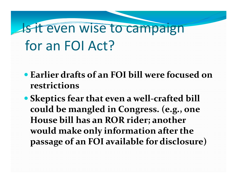# **Is it even wise to campaign** for an FOI Act?

- **Earlier drafts of an FOI bill were focused on restrictions**
- **Skeptics fear that even a well-crafted bill could be mangled in Congress. (e.g., one House bill has an ROR rider; another would make only information after the passage of an FOI available for disclosure)**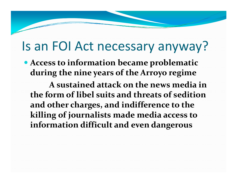#### Is an FOI Act necessary anyway?

 **Access to information became problematic during the nine years of the Arroyo regime**

**A sustained attack on the news media in the form of libel suits and threats of sedition and other charges, and indifference to the killing of journalists made media access to information difficult and even dangerous**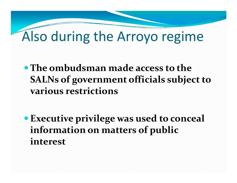# Also during the Arroyo regime

**The ombudsman made access to the SALNs of government officials subject to various restrictions**

**Executive privilege was used to conceal information on matters of public interest**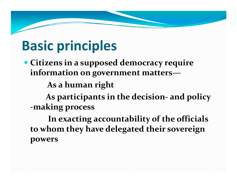# **Basic principles**

 **Citizens in a supposed democracy require information on government matters—**

**As a human right**

**As participants in the decision and policy -making process**

**In exacting accountability of the officials to whom they have delegated their sovereign powers**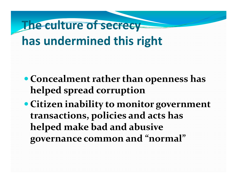# **The culture of secrecy has undermined this right**

- **Concealment rather than openness has helped spread corruption**
- **Citizen inability to monitor government transactions, policies and acts has helped make bad and abusive governance common and "normal"**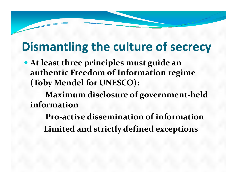#### **Dismantling the culture of secrecy**

 **At least three principles must guide an authentic Freedom of Information regime (Toby Mendel for UNESCO):**

**Maximum disclosure of government-held information**

 **Pro-active dissemination of informationLimited and strictly defined exceptions**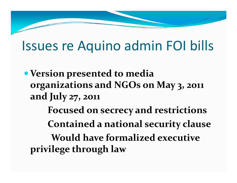### Issues re Aquino admin FOI bills

**Version presented to media organizations and NGOs on May 3, 2011 and July 27, 2011Focused on secrecy and restrictionsContained a national security clauseWould have formalized executive privilege through law**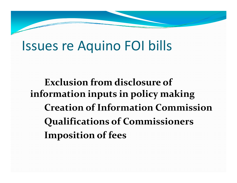### Issues re Aquino FOI bills

**Exclusion from disclosure of information inputs in policy making Creation of Information CommissionQualifications of CommissionersImposition of fees**